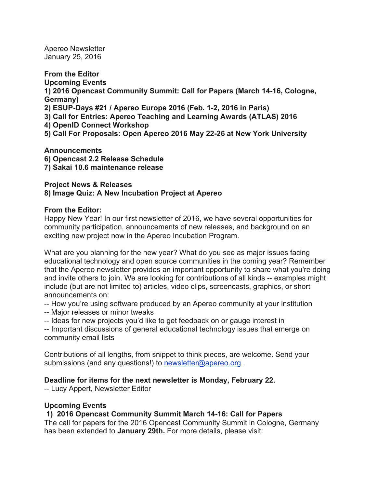Apereo Newsletter January 25, 2016

**From the Editor Upcoming Events 1) 2016 Opencast Community Summit: Call for Papers (March 14-16, Cologne, Germany) 2) ESUP-Days #21 / Apereo Europe 2016 (Feb. 1-2, 2016 in Paris) 3) Call for Entries: Apereo Teaching and Learning Awards (ATLAS) 2016 4) OpenID Connect Workshop 5) Call For Proposals: Open Apereo 2016 May 22-26 at New York University**

**Announcements 6) Opencast 2.2 Release Schedule 7) Sakai 10.6 maintenance release**

**Project News & Releases 8) Image Quiz: A New Incubation Project at Apereo**

# **From the Editor:**

Happy New Year! In our first newsletter of 2016, we have several opportunities for community participation, announcements of new releases, and background on an exciting new project now in the Apereo Incubation Program.

What are you planning for the new year? What do you see as major issues facing educational technology and open source communities in the coming year? Remember that the Apereo newsletter provides an important opportunity to share what you're doing and invite others to join. We are looking for contributions of all kinds -- examples might include (but are not limited to) articles, video clips, screencasts, graphics, or short announcements on:

-- How you're using software produced by an Apereo community at your institution

- -- Major releases or minor tweaks
- -- Ideas for new projects you'd like to get feedback on or gauge interest in

-- Important discussions of general educational technology issues that emerge on community email lists

Contributions of all lengths, from snippet to think pieces, are welcome. Send your submissions (and any questions!) to newsletter@apereo.org.

# **Deadline for items for the next newsletter is Monday, February 22.**

-- Lucy Appert, Newsletter Editor

# **Upcoming Events**

# **1) 2016 Opencast Community Summit March 14-16: Call for Papers**

The call for papers for the 2016 Opencast Community Summit in Cologne, Germany has been extended to **January 29th.** For more details, please visit: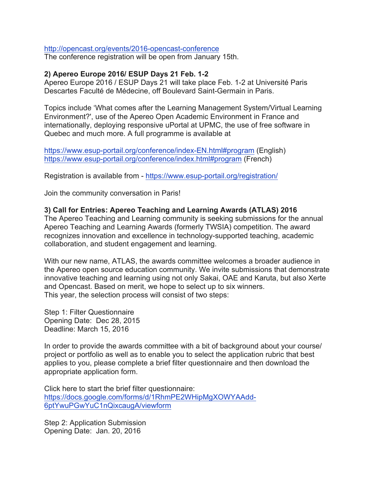#### http://opencast.org/events/2016-opencast-conference

The conference registration will be open from January 15th.

### **2) Apereo Europe 2016/ ESUP Days 21 Feb. 1-2**

Apereo Europe 2016 / ESUP Days 21 will take place Feb. 1-2 at Université Paris Descartes Faculté de Médecine, off Boulevard Saint-Germain in Paris.

Topics include 'What comes after the Learning Management System/Virtual Learning Environment?', use of the Apereo Open Academic Environment in France and internationally, deploying responsive uPortal at UPMC, the use of free software in Quebec and much more. A full programme is available at

https://www.esup-portail.org/conference/index-EN.html#program (English) https://www.esup-portail.org/conference/index.html#program (French)

Registration is available from - https://www.esup-portail.org/registration/

Join the community conversation in Paris!

### **3) Call for Entries: Apereo Teaching and Learning Awards (ATLAS) 2016**

The Apereo Teaching and Learning community is seeking submissions for the annual Apereo Teaching and Learning Awards (formerly TWSIA) competition. The award recognizes innovation and excellence in technology-supported teaching, academic collaboration, and student engagement and learning.

With our new name, ATLAS, the awards committee welcomes a broader audience in the Apereo open source education community. We invite submissions that demonstrate innovative teaching and learning using not only Sakai, OAE and Karuta, but also Xerte and Opencast. Based on merit, we hope to select up to six winners. This year, the selection process will consist of two steps:

Step 1: Filter Questionnaire Opening Date: Dec 28, 2015 Deadline: March 15, 2016

In order to provide the awards committee with a bit of background about your course/ project or portfolio as well as to enable you to select the application rubric that best applies to you, please complete a brief filter questionnaire and then download the appropriate application form.

Click here to start the brief filter questionnaire: https://docs.google.com/forms/d/1RhmPE2WHipMgXOWYAAdd-6ptYwuPGwYuC1nQixcaugA/viewform

Step 2: Application Submission Opening Date: Jan. 20, 2016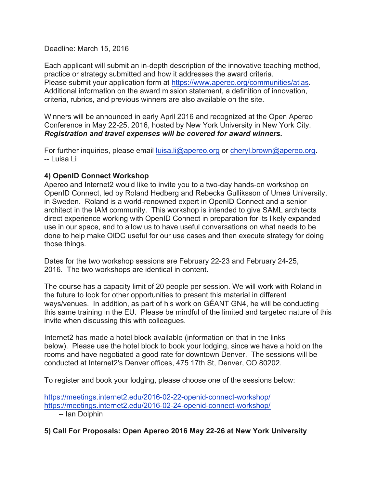# Deadline: March 15, 2016

Each applicant will submit an in-depth description of the innovative teaching method, practice or strategy submitted and how it addresses the award criteria. Please submit your application form at https://www.apereo.org/communities/atlas. Additional information on the award mission statement, a definition of innovation, criteria, rubrics, and previous winners are also available on the site.

Winners will be announced in early April 2016 and recognized at the Open Apereo Conference in May 22-25, 2016, hosted by New York University in New York City. *Registration and travel expenses will be covered for award winners.*

For further inquiries, please email luisa.li@apereo.org or cheryl.brown@apereo.org. -- Luisa Li

# **4) OpenID Connect Workshop**

Apereo and Internet2 would like to invite you to a two-day hands-on workshop on OpenID Connect, led by Roland Hedberg and Rebecka Gulliksson of Umeå University, in Sweden. Roland is a world-renowned expert in OpenID Connect and a senior architect in the IAM community. This workshop is intended to give SAML architects direct experience working with OpenID Connect in preparation for its likely expanded use in our space, and to allow us to have useful conversations on what needs to be done to help make OIDC useful for our use cases and then execute strategy for doing those things.

Dates for the two workshop sessions are February 22-23 and February 24-25, 2016. The two workshops are identical in content.

The course has a capacity limit of 20 people per session. We will work with Roland in the future to look for other opportunities to present this material in different ways/venues. In addition, as part of his work on GÉANT GN4, he will be conducting this same training in the EU. Please be mindful of the limited and targeted nature of this invite when discussing this with colleagues.

Internet2 has made a hotel block available (information on that in the links below). Please use the hotel block to book your lodging, since we have a hold on the rooms and have negotiated a good rate for downtown Denver. The sessions will be conducted at Internet2's Denver offices, 475 17th St, Denver, CO 80202.

To register and book your lodging, please choose one of the sessions below:

https://meetings.internet2.edu/2016-02-22-openid-connect-workshop/ https://meetings.internet2.edu/2016-02-24-openid-connect-workshop/

-- Ian Dolphin

# **5) Call For Proposals: Open Apereo 2016 May 22-26 at New York University**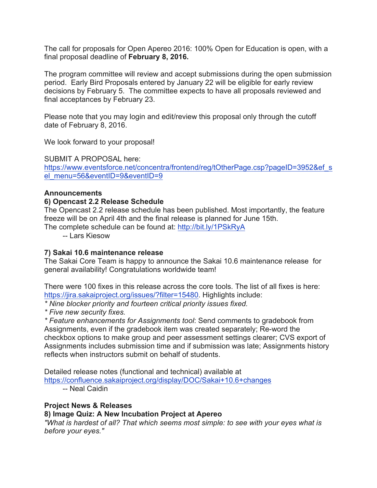The call for proposals for Open Apereo 2016: 100% Open for Education is open, with a final proposal deadline of **February 8, 2016.**

The program committee will review and accept submissions during the open submission period. Early Bird Proposals entered by January 22 will be eligible for early review decisions by February 5. The committee expects to have all proposals reviewed and final acceptances by February 23.

Please note that you may login and edit/review this proposal only through the cutoff date of February 8, 2016.

We look forward to your proposal!

SUBMIT A PROPOSAL here: https://www.eventsforce.net/concentra/frontend/reg/tOtherPage.csp?pageID=3952&ef\_s el\_menu=56&eventID=9&eventID=9

### **Announcements**

### **6) Opencast 2.2 Release Schedule**

The Opencast 2.2 release schedule has been published. Most importantly, the feature freeze will be on April 4th and the final release is planned for June 15th.

The complete schedule can be found at: http://bit.ly/1PSkRyA

-- Lars Kiesow

# **7) Sakai 10.6 maintenance release**

The Sakai Core Team is happy to announce the Sakai 10.6 maintenance release for general availability! Congratulations worldwide team!

There were 100 fixes in this release across the core tools. The list of all fixes is here: https://jira.sakaiproject.org/issues/?filter=15480. Highlights include:

*\* Nine blocker priority and fourteen critical priority issues fixed.*

*\* Five new security fixes.*

*\* Feature enhancements for Assignments tool*: Send comments to gradebook from Assignments, even if the gradebook item was created separately; Re-word the checkbox options to make group and peer assessment settings clearer; CVS export of Assignments includes submission time and if submission was late; Assignments history reflects when instructors submit on behalf of students.

Detailed release notes (functional and technical) available at https://confluence.sakaiproject.org/display/DOC/Sakai+10.6+changes

-- Neal Caidin

# **Project News & Releases**

# **8) Image Quiz: A New Incubation Project at Apereo**

*"What is hardest of all? That which seems most simple: to see with your eyes what is before your eyes."*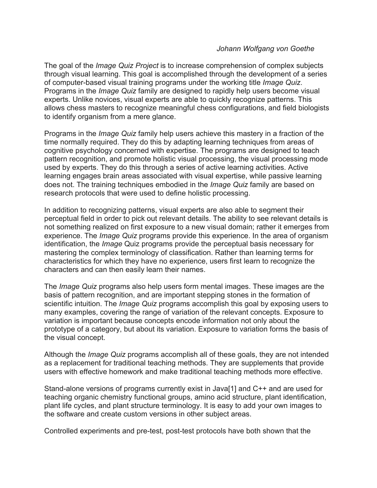### *Johann Wolfgang von Goethe*

The goal of the *Image Quiz Project* is to increase comprehension of complex subjects through visual learning. This goal is accomplished through the development of a series of computer-based visual training programs under the working title *Image Quiz*. Programs in the *Image Quiz* family are designed to rapidly help users become visual experts. Unlike novices, visual experts are able to quickly recognize patterns. This allows chess masters to recognize meaningful chess configurations, and field biologists to identify organism from a mere glance.

Programs in the *Image Quiz* family help users achieve this mastery in a fraction of the time normally required. They do this by adapting learning techniques from areas of cognitive psychology concerned with expertise. The programs are designed to teach pattern recognition, and promote holistic visual processing, the visual processing mode used by experts. They do this through a series of active learning activities. Active learning engages brain areas associated with visual expertise, while passive learning does not. The training techniques embodied in the *Image Quiz* family are based on research protocols that were used to define holistic processing.

In addition to recognizing patterns, visual experts are also able to segment their perceptual field in order to pick out relevant details. The ability to see relevant details is not something realized on first exposure to a new visual domain; rather it emerges from experience. The *Image Quiz* programs provide this experience. In the area of organism identification, the *Image* Quiz programs provide the perceptual basis necessary for mastering the complex terminology of classification. Rather than learning terms for characteristics for which they have no experience, users first learn to recognize the characters and can then easily learn their names.

The *Image Quiz* programs also help users form mental images. These images are the basis of pattern recognition, and are important stepping stones in the formation of scientific intuition. The *Image Quiz* programs accomplish this goal by exposing users to many examples, covering the range of variation of the relevant concepts. Exposure to variation is important because concepts encode information not only about the prototype of a category, but about its variation. Exposure to variation forms the basis of the visual concept.

Although the *Image Quiz* programs accomplish all of these goals, they are not intended as a replacement for traditional teaching methods. They are supplements that provide users with effective homework and make traditional teaching methods more effective.

Stand-alone versions of programs currently exist in Java[1] and C++ and are used for teaching organic chemistry functional groups, amino acid structure, plant identification, plant life cycles, and plant structure terminology. It is easy to add your own images to the software and create custom versions in other subject areas.

Controlled experiments and pre-test, post-test protocols have both shown that the